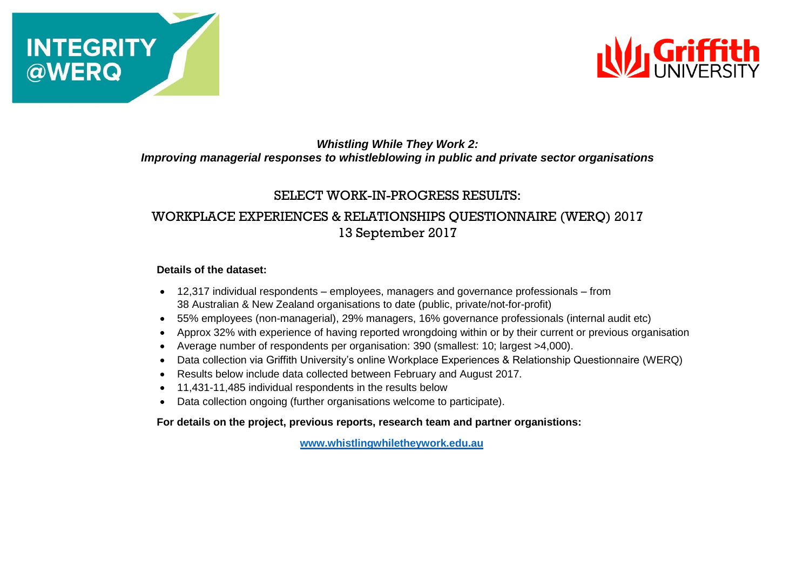



## *Whistling While They Work 2: Improving managerial responses to whistleblowing in public and private sector organisations*

## SELECT WORK-IN-PROGRESS RESULTS:

# WORKPLACE EXPERIENCES & RELATIONSHIPS QUESTIONNAIRE (WERQ) 2017 13 September 2017

#### **Details of the dataset:**

- 12,317 individual respondents employees, managers and governance professionals from 38 Australian & New Zealand organisations to date (public, private/not-for-profit)
- 55% employees (non-managerial), 29% managers, 16% governance professionals (internal audit etc)
- Approx 32% with experience of having reported wrongdoing within or by their current or previous organisation
- Average number of respondents per organisation: 390 (smallest: 10; largest >4,000).
- Data collection via Griffith University's online Workplace Experiences & Relationship Questionnaire (WERQ)
- Results below include data collected between February and August 2017.
- 11,431-11,485 individual respondents in the results below
- Data collection ongoing (further organisations welcome to participate).

**For details on the project, previous reports, research team and partner organistions:**

**[www.whistlingwhiletheywork.edu.au](file:///C:/4.%20WWTW%232%20ARC%20Linkage%202015-2018/Results%20&%20Data/www.whistlingwhiletheywork.edu.au)**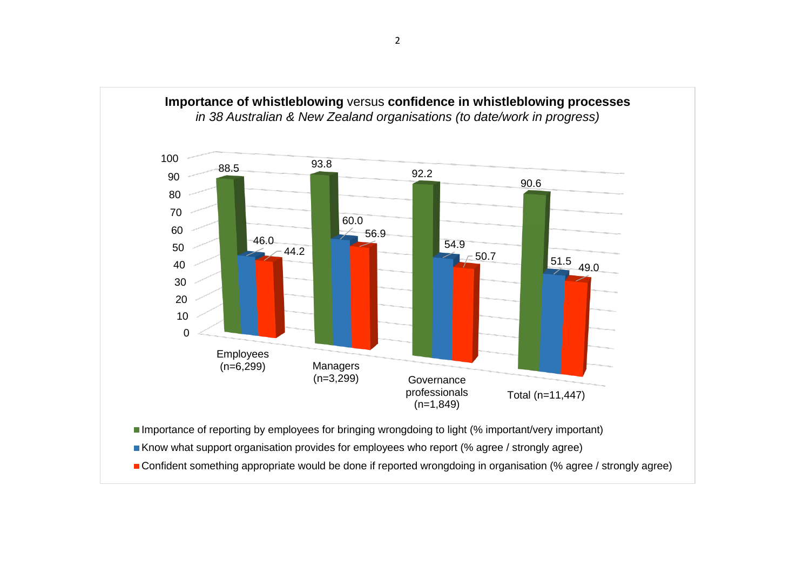

Importance of reporting by employees for bringing wrongdoing to light (% important/very important)

Know what support organisation provides for employees who report (% agree / strongly agree)

■ Confident something appropriate would be done if reported wrongdoing in organisation (% agree / strongly agree)

professionals (n=1,849)

Total (n=11,447)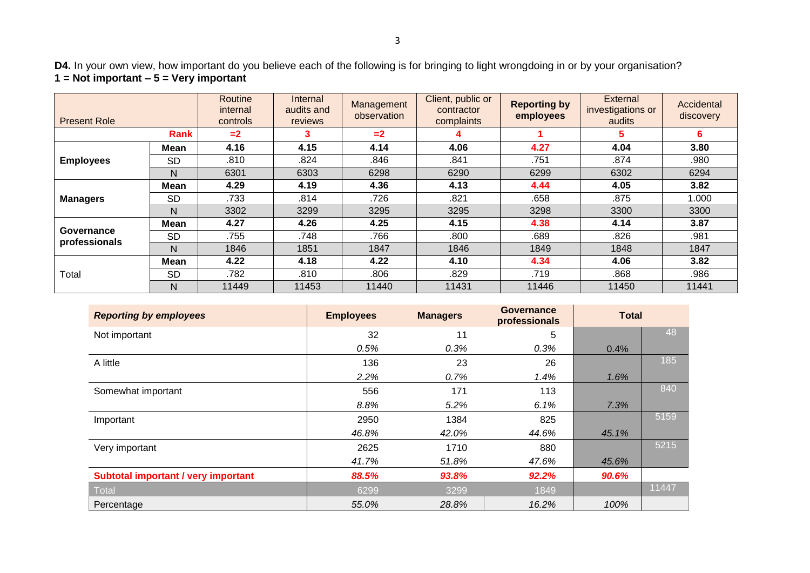**D4.** In your own view, how important do you believe each of the following is for bringing to light wrongdoing in or by your organisation? **1 = Not important – 5 = Very important**

| <b>Present Role</b>         |           | Routine<br>internal<br>controls | Internal<br>audits and<br>reviews | Management<br>observation | Client, public or<br>contractor<br>complaints | <b>Reporting by</b><br>employees | External<br>investigations or<br>audits | Accidental<br>discovery |
|-----------------------------|-----------|---------------------------------|-----------------------------------|---------------------------|-----------------------------------------------|----------------------------------|-----------------------------------------|-------------------------|
| Rank                        |           | $=2$                            | 3                                 | $=2$                      | 4                                             |                                  | 5                                       | 6                       |
| <b>Employees</b>            | Mean      | 4.16                            | 4.15                              | 4.14                      | 4.06                                          | 4.27                             | 4.04                                    | 3.80                    |
|                             | <b>SD</b> | .810                            | .824                              | .846                      | .841                                          | .751                             | .874                                    | .980                    |
|                             | N         | 6301                            | 6303                              | 6298                      | 6290                                          | 6299                             | 6302                                    | 6294                    |
| <b>Managers</b>             | Mean      | 4.29                            | 4.19                              | 4.36                      | 4.13                                          | 4.44                             | 4.05                                    | 3.82                    |
|                             | <b>SD</b> | .733                            | .814                              | .726                      | .821                                          | .658                             | .875                                    | 1.000                   |
|                             | N         | 3302                            | 3299                              | 3295                      | 3295                                          | 3298                             | 3300                                    | 3300                    |
| Governance<br>professionals | Mean      | 4.27                            | 4.26                              | 4.25                      | 4.15                                          | 4.38                             | 4.14                                    | 3.87                    |
|                             | <b>SD</b> | .755                            | .748                              | .766                      | .800                                          | .689                             | .826                                    | .981                    |
|                             | Ν         | 1846                            | 1851                              | 1847                      | 1846                                          | 1849                             | 1848                                    | 1847                    |
| Total                       | Mean      | 4.22                            | 4.18                              | 4.22                      | 4.10                                          | 4.34                             | 4.06                                    | 3.82                    |
|                             | <b>SD</b> | .782                            | .810                              | .806                      | .829                                          | .719                             | .868                                    | .986                    |
|                             | N         | 11449                           | 11453                             | 11440                     | 11431                                         | 11446                            | 11450                                   | 11441                   |

| <b>Reporting by employees</b>       | <b>Employees</b> | <b>Managers</b> | <b>Governance</b><br>professionals | <b>Total</b> |       |
|-------------------------------------|------------------|-----------------|------------------------------------|--------------|-------|
| Not important                       | 32               | 11              | 5                                  |              | 48    |
|                                     | 0.5%             | 0.3%            | 0.3%                               | 0.4%         |       |
| A little                            | 136              | 23              | 26                                 |              | 185   |
|                                     | 2.2%             | 0.7%            | 1.4%                               | 1.6%         |       |
| Somewhat important                  | 556              | 171             | 113                                |              | 840   |
|                                     | 8.8%             | 5.2%            | 6.1%                               | 7.3%         |       |
| Important                           | 2950             | 1384            | 825                                |              | 5159  |
|                                     | 46.8%            | 42.0%           | 44.6%                              | 45.1%        |       |
| Very important                      | 2625             | 1710            | 880                                |              | 5215  |
|                                     | 41.7%            | 51.8%           | 47.6%                              | 45.6%        |       |
| Subtotal important / very important | 88.5%            | 93.8%           | 92.2%                              | 90.6%        |       |
| <b>Total</b>                        | 6299             | 3299            | 1849                               |              | 11447 |
| Percentage                          | 55.0%            | 28.8%           | 16.2%                              | 100%         |       |